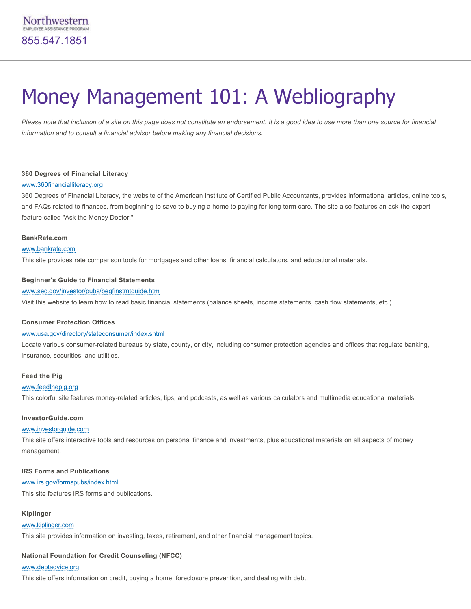# Money Management 101: A Webliography

*Please note that inclusion of a site on this page does not constitute an endorsement. It is a good idea to use more than one source for financial information and to consult a financial advisor before making any financial decisions.*

# **360 Degrees of Financial Literacy**

# [www.360financialliteracy.org](http://www.360financialliteracy.org/)

360 Degrees of Financial Literacy, the website of the American Institute of Certified Public Accountants, provides informational articles, online tools, and FAQs related to finances, from beginning to save to buying a home to paying for long-term care. The site also features an ask-the-expert feature called "Ask the Money Doctor."

### **BankRate.com**

# [www.bankrate.com](http://www.bankrate.com/brm/default.asp)

This site provides rate comparison tools for mortgages and other loans, financial calculators, and educational materials.

# **Beginner's Guide to Financial Statements**

### [www.sec.gov/investor/pubs/begfinstmtguide.htm](http://www.sec.gov/investor/pubs/begfinstmtguide.htm)

Visit this website to learn how to read basic financial statements (balance sheets, income statements, cash flow statements, etc.).

#### **Consumer Protection Offices**

# [www.usa.gov/directory/stateconsumer/index.shtml](http://www.usa.gov/directory/stateconsumer/index.shtml)

Locate various consumer-related bureaus by state, county, or city, including consumer protection agencies and offices that regulate banking, insurance, securities, and utilities.

# **Feed the Pig**

#### [www.feedthepig.org](http://www.feedthepig.org/)

This colorful site features moneyrelated articles, tips, and podcasts, as well as various calculators and multimedia educational materials.

# **InvestorGuide.com**

# [www.investorguide.com](http://www.investorguide.com/)

This site offers interactive tools and resources on personal finance and investments, plus educational materials on all aspects of money management.

# **IRS Forms and Publications**

# [www.irs.gov/formspubs/index.html](http://www.irs.gov/formspubs/index.html)

This site features IRS forms and publications.

# **Kiplinger**

# [www.kiplinger.com](http://www.kiplinger.com/)

This site provides information on investing, taxes, retirement, and other financial management topics.

# **National Foundation for Credit Counseling (NFCC)**

# [www.debtadvice.org](http://www.debtadvice.org/)

This site offers information on credit, buying a home, foreclosure prevention, and dealing with debt.